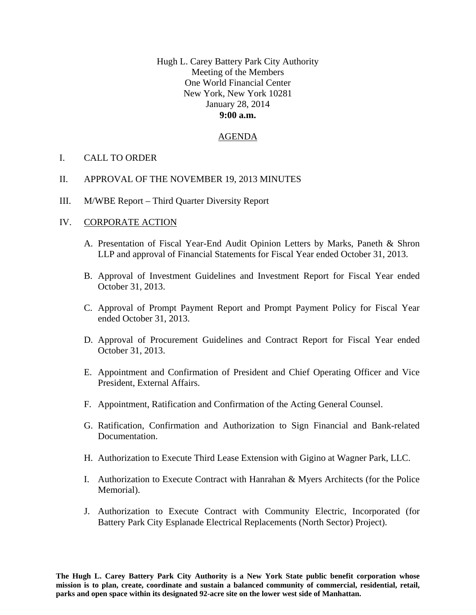Hugh L. Carey Battery Park City Authority Meeting of the Members One World Financial Center New York, New York 10281 January 28, 2014 **9:00 a.m.** 

## AGENDA

- I. CALL TO ORDER
- II. APPROVAL OF THE NOVEMBER 19, 2013 MINUTES
- III. M/WBE Report Third Quarter Diversity Report

## IV. CORPORATE ACTION

- A. Presentation of Fiscal Year-End Audit Opinion Letters by Marks, Paneth & Shron LLP and approval of Financial Statements for Fiscal Year ended October 31, 2013.
- B. Approval of Investment Guidelines and Investment Report for Fiscal Year ended October 31, 2013.
- C. Approval of Prompt Payment Report and Prompt Payment Policy for Fiscal Year ended October 31, 2013.
- D. Approval of Procurement Guidelines and Contract Report for Fiscal Year ended October 31, 2013.
- E. Appointment and Confirmation of President and Chief Operating Officer and Vice President, External Affairs.
- F. Appointment, Ratification and Confirmation of the Acting General Counsel.
- G. Ratification, Confirmation and Authorization to Sign Financial and Bank-related Documentation.
- H. Authorization to Execute Third Lease Extension with Gigino at Wagner Park, LLC.
- I. Authorization to Execute Contract with Hanrahan & Myers Architects (for the Police Memorial).
- J. Authorization to Execute Contract with Community Electric, Incorporated (for Battery Park City Esplanade Electrical Replacements (North Sector) Project).

**The Hugh L. Carey Battery Park City Authority is a New York State public benefit corporation whose mission is to plan, create, coordinate and sustain a balanced community of commercial, residential, retail, parks and open space within its designated 92-acre site on the lower west side of Manhattan.**